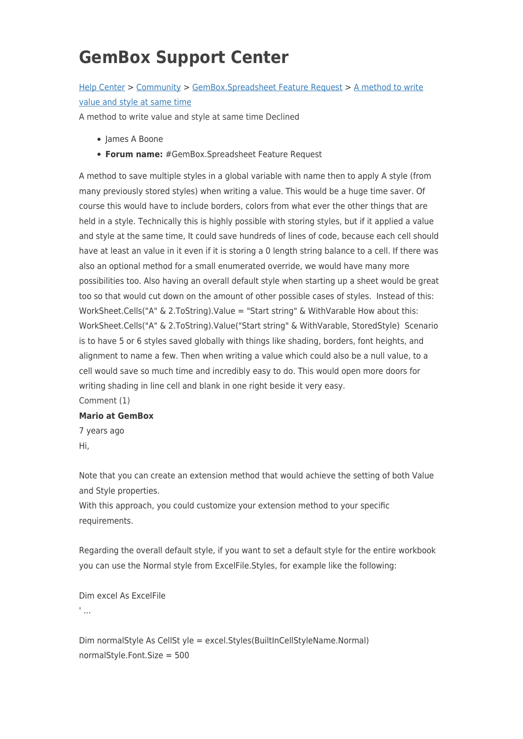## **GemBox Support Center**

## [Help Center](https://support.gemboxsoftware.com/) > [Community](https://support.gemboxsoftware.com/community) > [GemBox.Spreadsheet Feature Request](https://support.gemboxsoftware.com/community/browse/type-1/view-list/viewmode-compact) > [A method to write](https://support.gemboxsoftware.com/community/view/a-method-to-write-value-and-style-at-same-time) [value and style at same time](https://support.gemboxsoftware.com/community/view/a-method-to-write-value-and-style-at-same-time)

A method to write value and style at same time Declined

- James A Boone
- **Forum name:** #GemBox.Spreadsheet Feature Request

A method to save multiple styles in a global variable with name then to apply A style (from many previously stored styles) when writing a value. This would be a huge time saver. Of course this would have to include borders, colors from what ever the other things that are held in a style. Technically this is highly possible with storing styles, but if it applied a value and style at the same time, It could save hundreds of lines of code, because each cell should have at least an value in it even if it is storing a 0 length string balance to a cell. If there was also an optional method for a small enumerated override, we would have many more possibilities too. Also having an overall default style when starting up a sheet would be great too so that would cut down on the amount of other possible cases of styles. Instead of this: WorkSheet.Cells("A" & 2.ToString).Value = "Start string" & WithVarable How about this: WorkSheet.Cells("A" & 2.ToString).Value("Start string" & WithVarable, StoredStyle) Scenario is to have 5 or 6 styles saved globally with things like shading, borders, font heights, and alignment to name a few. Then when writing a value which could also be a null value, to a cell would save so much time and incredibly easy to do. This would open more doors for writing shading in line cell and blank in one right beside it very easy.

Comment (1)

## **Mario at GemBox**

7 years ago Hi,

Note that you can create an extension method that would achieve the setting of both Value and Style properties.

With this approach, you could customize your extension method to your specific requirements.

Regarding the overall default style, if you want to set a default style for the entire workbook you can use the Normal style from ExcelFile.Styles, for example like the following:

Dim excel As ExcelFile ' ...

Dim normalStyle As CellSt yle = excel.Styles(BuiltInCellStyleName.Normal) normalStyle.Font.Size = 500